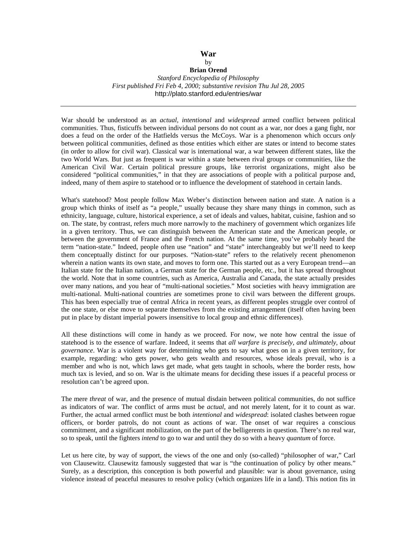# **War**

by **Brian Orend** 

*Stanford Encyclopedia of Philosophy First published Fri Feb 4, 2000; substantive revision Thu Jul 28, 2005*  http://plato.stanford.edu/entries/war

War should be understood as an *actual, intentional* and *widespread* armed conflict between political communities. Thus, fisticuffs between individual persons do not count as a war, nor does a gang fight, nor does a feud on the order of the Hatfields versus the McCoys. War is a phenomenon which occurs *only* between political communities, defined as those entities which either are states or intend to become states (in order to allow for civil war). Classical war is international war, a war between different states, like the two World Wars. But just as frequent is war within a state between rival groups or communities, like the American Civil War. Certain political pressure groups, like terrorist organizations, might also be considered "political communities," in that they are associations of people with a political purpose and, indeed, many of them aspire to statehood or to influence the development of statehood in certain lands.

What's statehood? Most people follow Max Weber's distinction between nation and state. A nation is a group which thinks of itself as "a people," usually because they share many things in common, such as ethnicity, language, culture, historical experience, a set of ideals and values, habitat, cuisine, fashion and so on. The state, by contrast, refers much more narrowly to the machinery of government which organizes life in a given territory. Thus, we can distinguish between the American state and the American people, or between the government of France and the French nation. At the same time, you've probably heard the term "nation-state." Indeed, people often use "nation" and "state" interchangeably but we'll need to keep them conceptually distinct for our purposes. "Nation-state" refers to the relatively recent phenomenon wherein a nation wants its own state, and moves to form one. This started out as a very European trend—an Italian state for the Italian nation, a German state for the German people, etc., but it has spread throughout the world. Note that in some countries, such as America, Australia and Canada, the state actually presides over many nations, and you hear of "multi-national societies." Most societies with heavy immigration are multi-national. Multi-national countries are sometimes prone to civil wars between the different groups. This has been especially true of central Africa in recent years, as different peoples struggle over control of the one state, or else move to separate themselves from the existing arrangement (itself often having been put in place by distant imperial powers insensitive to local group and ethnic differences).

All these distinctions will come in handy as we proceed. For now, we note how central the issue of statehood is to the essence of warfare. Indeed, it seems that *all warfare is precisely, and ultimately, about governance*. War is a violent way for determining who gets to say what goes on in a given territory, for example, regarding: who gets power, who gets wealth and resources, whose ideals prevail, who is a member and who is not, which laws get made, what gets taught in schools, where the border rests, how much tax is levied, and so on. War is the ultimate means for deciding these issues if a peaceful process or resolution can't be agreed upon.

The mere *threat* of war, and the presence of mutual disdain between political communities, do not suffice as indicators of war. The conflict of arms must be *actual*, and not merely latent, for it to count as war. Further, the actual armed conflict must be both *intentional* and *widespread*: isolated clashes between rogue officers, or border patrols, do not count as actions of war. The onset of war requires a conscious commitment, and a significant mobilization, on the part of the belligerents in question. There's no real war, so to speak, until the fighters *intend* to go to war and until they do so with a heavy *quantum* of force.

Let us here cite, by way of support, the views of the one and only (so-called) "philosopher of war," Carl von Clausewitz. Clausewitz famously suggested that war is "the continuation of policy by other means." Surely, as a description, this conception is both powerful and plausible: war is about governance, using violence instead of peaceful measures to resolve policy (which organizes life in a land). This notion fits in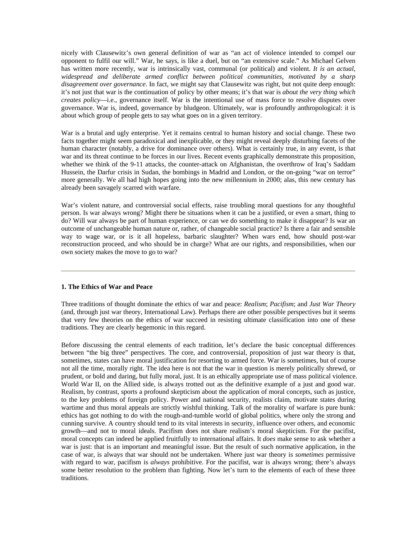nicely with Clausewitz's own general definition of war as "an act of violence intended to compel our opponent to fulfil our will." War, he says, is like a duel, but on "an extensive scale." As Michael Gelven has written more recently, war is intrinsically vast, communal (or political) and violent. *It is an actual*, *widespread and deliberate armed conflict between political communities, motivated by a sharp disagreement over governance*. In fact, we might say that Clausewitz was right, but not quite deep enough: it's not just that war is the continuation of policy by other means; it's that war is *about the very thing which creates policy*—i.e., governance itself. War is the intentional use of mass force to resolve disputes over governance. War is, indeed, governance by bludgeon. Ultimately, war is profoundly anthropological: it is about which group of people gets to say what goes on in a given territory.

War is a brutal and ugly enterprise. Yet it remains central to human history and social change. These two facts together might seem paradoxical and inexplicable, or they might reveal deeply disturbing facets of the human character (notably, a drive for dominance over others). What is certainly true, in any event, is that war and its threat continue to be forces in our lives. Recent events graphically demonstrate this proposition, whether we think of the 9-11 attacks, the counter-attack on Afghanistan, the overthrow of Iraq's Saddam Hussein, the Darfur crisis in Sudan, the bombings in Madrid and London, or the on-going "war on terror" more generally. We all had high hopes going into the new millennium in 2000; alas, this new century has already been savagely scarred with warfare.

War's violent nature, and controversial social effects, raise troubling moral questions for any thoughtful person. Is war always wrong? Might there be situations when it can be a justified, or even a smart, thing to do? Will war always be part of human experience, or can we do something to make it disappear? Is war an outcome of unchangeable human nature or, rather, of changeable social practice? Is there a fair and sensible way to wage war, or is it all hopeless, barbaric slaughter? When wars end, how should post-war reconstruction proceed, and who should be in charge? What are our rights, and responsibilities, when our own society makes the move to go to war?

#### **1. The Ethics of War and Peace**

Three traditions of thought dominate the ethics of war and peace: *Realism*; *Pacifism*; and *Just War Theory* (and, through just war theory, International Law). Perhaps there are other possible perspectives but it seems that very few theories on the ethics of war succeed in resisting ultimate classification into one of these traditions. They are clearly hegemonic in this regard.

Before discussing the central elements of each tradition, let's declare the basic conceptual differences between "the big three" perspectives. The core, and controversial, proposition of just war theory is that, sometimes, states can have moral justification for resorting to armed force. War is sometimes, but of course not all the time, morally right. The idea here is not that the war in question is merely politically shrewd, or prudent, or bold and daring, but fully moral, just. It is an ethically appropriate use of mass political violence. World War II, on the Allied side, is always trotted out as the definitive example of a just and good war. Realism, by contrast, sports a profound skepticism about the application of moral concepts, such as justice, to the key problems of foreign policy. Power and national security, realists claim, motivate states during wartime and thus moral appeals are strictly wishful thinking. Talk of the morality of warfare is pure bunk: ethics has got nothing to do with the rough-and-tumble world of global politics, where only the strong and cunning survive. A country should tend to its vital interests in security, influence over others, and economic growth—and not to moral ideals. Pacifism does not share realism's moral skepticism. For the pacifist, moral concepts can indeed be applied fruitfully to international affairs. It *does* make sense to ask whether a war is just: that is an important and meaningful issue. But the result of such normative application, in the case of war, is always that war should not be undertaken. Where just war theory is *sometimes* permissive with regard to war, pacifism is *always* prohibitive. For the pacifist, war is always wrong; there's always some better resolution to the problem than fighting. Now let's turn to the elements of each of these three traditions.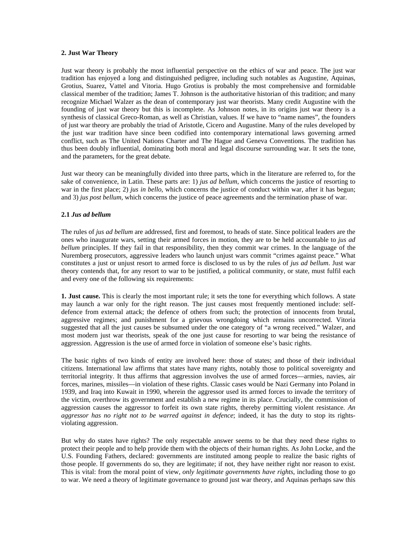## **2. Just War Theory**

Just war theory is probably the most influential perspective on the ethics of war and peace. The just war tradition has enjoyed a long and distinguished pedigree, including such notables as Augustine, Aquinas, Grotius, Suarez, Vattel and Vitoria. Hugo Grotius is probably the most comprehensive and formidable classical member of the tradition; James T. Johnson is the authoritative historian of this tradition; and many recognize Michael Walzer as the dean of contemporary just war theorists. Many credit Augustine with the founding of just war theory but this is incomplete. As Johnson notes, in its origins just war theory is a synthesis of classical Greco-Roman, as well as Christian, values. If we have to "name names", the founders of just war theory are probably the triad of Aristotle, Cicero and Augustine. Many of the rules developed by the just war tradition have since been codified into contemporary international laws governing armed conflict, such as The United Nations Charter and The Hague and Geneva Conventions. The tradition has thus been doubly influential, dominating both moral and legal discourse surrounding war. It sets the tone, and the parameters, for the great debate.

Just war theory can be meaningfully divided into three parts, which in the literature are referred to, for the sake of convenience, in Latin. These parts are: 1) *jus ad bellum*, which concerns the justice of resorting to war in the first place; 2) *jus in bello*, which concerns the justice of conduct within war, after it has begun; and 3) *jus post bellum*, which concerns the justice of peace agreements and the termination phase of war.

### **2.1** *Jus ad bellum*

The rules of *jus ad bellum* are addressed, first and foremost, to heads of state. Since political leaders are the ones who inaugurate wars, setting their armed forces in motion, they are to be held accountable to *jus ad bellum* principles. If they fail in that responsibility, then they commit war crimes. In the language of the Nuremberg prosecutors, aggressive leaders who launch unjust wars commit "crimes against peace." What constitutes a just or unjust resort to armed force is disclosed to us by the rules of *jus ad bellum*. Just war theory contends that, for any resort to war to be justified, a political community, or state, must fulfil each and every one of the following six requirements:

**1. Just cause.** This is clearly the most important rule; it sets the tone for everything which follows. A state may launch a war only for the right reason. The just causes most frequently mentioned include: selfdefence from external attack; the defence of others from such; the protection of innocents from brutal, aggressive regimes; and punishment for a grievous wrongdoing which remains uncorrected. Vitoria suggested that all the just causes be subsumed under the one category of "a wrong received." Walzer, and most modern just war theorists, speak of the one just cause for resorting to war being the resistance of aggression. Aggression is the use of armed force in violation of someone else's basic rights.

The basic rights of two kinds of entity are involved here: those of states; and those of their individual citizens. International law affirms that states have many rights, notably those to political sovereignty and territorial integrity. It thus affirms that aggression involves the use of armed forces—armies, navies, air forces, marines, missiles—in violation of these rights. Classic cases would be Nazi Germany into Poland in 1939, and Iraq into Kuwait in 1990, wherein the aggressor used its armed forces to invade the territory of the victim, overthrow its government and establish a new regime in its place. Crucially, the commission of aggression causes the aggressor to forfeit its own state rights, thereby permitting violent resistance. *An aggressor has no right not to be warred against in defence*; indeed, it has the duty to stop its rightsviolating aggression.

But why do states have rights? The only respectable answer seems to be that they need these rights to protect their people and to help provide them with the objects of their human rights. As John Locke, and the U.S. Founding Fathers, declared: governments are instituted among people to realize the basic rights of those people. If governments do so, they are legitimate; if not, they have neither right nor reason to exist. This is vital: from the moral point of view, *only legitimate governments have rights*, including those to go to war. We need a theory of legitimate governance to ground just war theory, and Aquinas perhaps saw this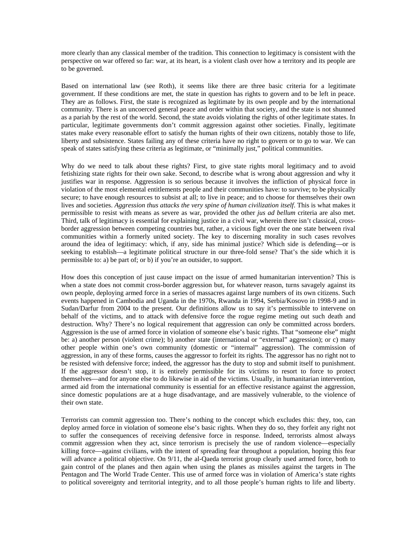more clearly than any classical member of the tradition. This connection to legitimacy is consistent with the perspective on war offered so far: war, at its heart, is a violent clash over how a territory and its people are to be governed.

Based on international law (see Roth), it seems like there are three basic criteria for a legitimate government. If these conditions are met, the state in question has rights to govern and to be left in peace. They are as follows. First, the state is recognized as legitimate by its own people and by the international community. There is an uncoerced general peace and order within that society, and the state is not shunned as a pariah by the rest of the world. Second, the state avoids violating the rights of other legitimate states. In particular, legitimate governments don't commit aggression against other societies. Finally, legitimate states make every reasonable effort to satisfy the human rights of their own citizens, notably those to life, liberty and subsistence. States failing any of these criteria have no right to govern or to go to war. We can speak of states satisfying these criteria as legitimate, or "minimally just," political communities.

Why do we need to talk about these rights? First, to give state rights moral legitimacy and to avoid fetishizing state rights for their own sake. Second, to describe what is wrong about aggression and why it justifies war in response. Aggression is so serious because it involves the infliction of physical force in violation of the most elemental entitlements people and their communities have: to survive; to be physically secure; to have enough resources to subsist at all; to live in peace; and to choose for themselves their own lives and societies. *Aggression thus attacks the very spine of human civilization itself*. This is what makes it permissible to resist with means as severe as war, provided the other *jus ad bellum* criteria are also met. Third, talk of legitimacy is essential for explaining justice in a civil war, wherein there isn't classical, crossborder aggression between competing countries but, rather, a vicious fight over the one state between rival communities within a formerly united society. The key to discerning morality in such cases revolves around the idea of legitimacy: which, if any, side has minimal justice? Which side is defending—or is seeking to establish—a legitimate political structure in our three-fold sense? That's the side which it is permissible to: a) be part of; or b) if you're an outsider, to support.

How does this conception of just cause impact on the issue of armed humanitarian intervention? This is when a state does not commit cross-border aggression but, for whatever reason, turns savagely against its own people, deploying armed force in a series of massacres against large numbers of its own citizens. Such events happened in Cambodia and Uganda in the 1970s, Rwanda in 1994, Serbia/Kosovo in 1998-9 and in Sudan/Darfur from 2004 to the present. Our definitions allow us to say it's permissible to intervene on behalf of the victims, and to attack with defensive force the rogue regime meting out such death and destruction. Why? There's no logical requirement that aggression can *only* be committed across borders. Aggression is the use of armed force in violation of someone else's basic rights. That "someone else" might be: a) another person (violent crime); b) another state (international or "external" aggression); or c) many other people within one's own community (domestic or "internal" aggression). The commission of aggression, in any of these forms, causes the aggressor to forfeit its rights. The aggressor has no right not to be resisted with defensive force; indeed, the aggressor has the duty to stop and submit itself to punishment. If the aggressor doesn't stop, it is entirely permissible for its victims to resort to force to protect themselves—and for anyone else to do likewise in aid of the victims. Usually, in humanitarian intervention, armed aid from the international community is essential for an effective resistance against the aggression, since domestic populations are at a huge disadvantage, and are massively vulnerable, to the violence of their own state.

Terrorists can commit aggression too. There's nothing to the concept which excludes this: they, too, can deploy armed force in violation of someone else's basic rights. When they do so, they forfeit any right not to suffer the consequences of receiving defensive force in response. Indeed, terrorists almost always commit aggression when they act, since terrorism is precisely the use of random violence—especially killing force—against civilians, with the intent of spreading fear throughout a population, hoping this fear will advance a political objective. On  $9/11$ , the al-Qaeda terrorist group clearly used armed force, both to gain control of the planes and then again when using the planes as missiles against the targets in The Pentagon and The World Trade Center. This use of armed force was in violation of America's state rights to political sovereignty and territorial integrity, and to all those people's human rights to life and liberty.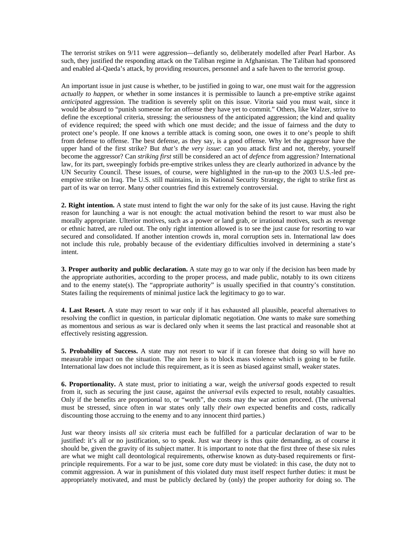The terrorist strikes on 9/11 were aggression—defiantly so, deliberately modelled after Pearl Harbor. As such, they justified the responding attack on the Taliban regime in Afghanistan. The Taliban had sponsored and enabled al-Qaeda's attack, by providing resources, personnel and a safe haven to the terrorist group.

An important issue in just cause is whether, to be justified in going to war, one must wait for the aggression *actually to happen*, or whether in some instances it is permissible to launch a pre-emptive strike against *anticipated* aggression. The tradition is severely split on this issue. Vitoria said you must wait, since it would be absurd to "punish someone for an offense they have yet to commit." Others, like Walzer, strive to define the exceptional criteria, stressing: the seriousness of the anticipated aggression; the kind and quality of evidence required; the speed with which one must decide; and the issue of fairness and the duty to protect one's people. If one knows a terrible attack is coming soon, one owes it to one's people to shift from defense to offense. The best defense, as they say, is a good offense. Why let the aggressor have the upper hand of the first strike? But *that's the very issue*: can you attack first and not, thereby, yourself become the aggressor? Can *striking first* still be considered an act of *defence* from aggression? International law, for its part, sweepingly forbids pre-emptive strikes unless they are clearly authorized in advance by the UN Security Council. These issues, of course, were highlighted in the run-up to the 2003 U.S.-led preemptive strike on Iraq. The U.S. still maintains, in its National Security Strategy, the right to strike first as part of its war on terror. Many other countries find this extremely controversial.

**2. Right intention.** A state must intend to fight the war only for the sake of its just cause. Having the right reason for launching a war is not enough: the actual motivation behind the resort to war must also be morally appropriate. Ulterior motives, such as a power or land grab, or irrational motives, such as revenge or ethnic hatred, are ruled out. The only right intention allowed is to see the just cause for resorting to war secured and consolidated. If another intention crowds in, moral corruption sets in. International law does not include this rule, probably because of the evidentiary difficulties involved in determining a state's intent.

**3. Proper authority and public declaration.** A state may go to war only if the decision has been made by the appropriate authorities, according to the proper process, and made public, notably to its own citizens and to the enemy state(s). The "appropriate authority" is usually specified in that country's constitution. States failing the requirements of minimal justice lack the legitimacy to go to war.

**4. Last Resort.** A state may resort to war only if it has exhausted all plausible, peaceful alternatives to resolving the conflict in question, in particular diplomatic negotiation. One wants to make sure something as momentous and serious as war is declared only when it seems the last practical and reasonable shot at effectively resisting aggression.

**5. Probability of Success.** A state may not resort to war if it can foresee that doing so will have no measurable impact on the situation. The aim here is to block mass violence which is going to be futile. International law does not include this requirement, as it is seen as biased against small, weaker states.

**6. Proportionality.** A state must, prior to initiating a war, weigh the *universal* goods expected to result from it, such as securing the just cause, against the *universal* evils expected to result, notably casualties. Only if the benefits are proportional to, or "worth", the costs may the war action proceed. (The universal must be stressed, since often in war states only tally *their own* expected benefits and costs, radically discounting those accruing to the enemy and to any innocent third parties.)

Just war theory insists *all six* criteria must each be fulfilled for a particular declaration of war to be justified: it's all or no justification, so to speak. Just war theory is thus quite demanding, as of course it should be, given the gravity of its subject matter. It is important to note that the first three of these six rules are what we might call deontological requirements, otherwise known as duty-based requirements or firstprinciple requirements. For a war to be just, some core duty must be violated: in this case, the duty not to commit aggression. A war in punishment of this violated duty must itself respect further duties: it must be appropriately motivated, and must be publicly declared by (only) the proper authority for doing so. The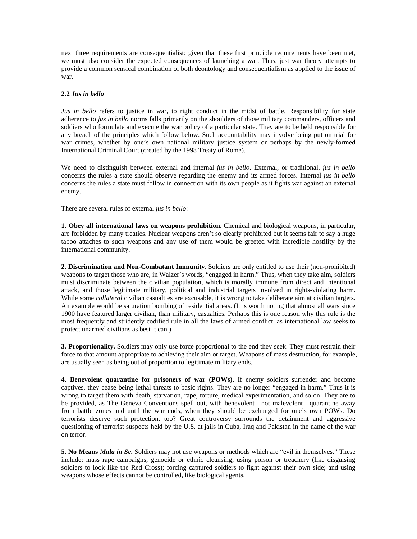next three requirements are consequentialist: given that these first principle requirements have been met, we must also consider the expected consequences of launching a war. Thus, just war theory attempts to provide a common sensical combination of both deontology and consequentialism as applied to the issue of war.

## **2.2** *Jus in bello*

*Jus in bello* refers to justice in war, to right conduct in the midst of battle. Responsibility for state adherence to *jus in bello* norms falls primarily on the shoulders of those military commanders, officers and soldiers who formulate and execute the war policy of a particular state. They are to be held responsible for any breach of the principles which follow below. Such accountability may involve being put on trial for war crimes, whether by one's own national military justice system or perhaps by the newly-formed International Criminal Court (created by the 1998 Treaty of Rome).

We need to distinguish between external and internal *jus in bello*. External, or traditional, *jus in bello* concerns the rules a state should observe regarding the enemy and its armed forces. Internal *jus in bello* concerns the rules a state must follow in connection with its own people as it fights war against an external enemy.

There are several rules of external *jus in bello*:

**1. Obey all international laws on weapons prohibition.** Chemical and biological weapons, in particular, are forbidden by many treaties. Nuclear weapons aren't so clearly prohibited but it seems fair to say a huge taboo attaches to such weapons and any use of them would be greeted with incredible hostility by the international community.

**2. Discrimination and Non-Combatant Immunity**. Soldiers are only entitled to use their (non-prohibited) weapons to target those who are, in Walzer's words, "engaged in harm." Thus, when they take aim, soldiers must discriminate between the civilian population, which is morally immune from direct and intentional attack, and those legitimate military, political and industrial targets involved in rights-violating harm. While some *collateral* civilian casualties are excusable, it is wrong to take deliberate aim at civilian targets. An example would be saturation bombing of residential areas. (It is worth noting that almost all wars since 1900 have featured larger civilian, than military, casualties. Perhaps this is one reason why this rule is the most frequently and stridently codified rule in all the laws of armed conflict, as international law seeks to protect unarmed civilians as best it can.)

**3. Proportionality.** Soldiers may only use force proportional to the end they seek. They must restrain their force to that amount appropriate to achieving their aim or target. Weapons of mass destruction, for example, are usually seen as being out of proportion to legitimate military ends.

**4. Benevolent quarantine for prisoners of war (POWs).** If enemy soldiers surrender and become captives, they cease being lethal threats to basic rights. They are no longer "engaged in harm." Thus it is wrong to target them with death, starvation, rape, torture, medical experimentation, and so on. They are to be provided, as The Geneva Conventions spell out, with benevolent—not malevolent—quarantine away from battle zones and until the war ends, when they should be exchanged for one's own POWs. Do terrorists deserve such protection, too? Great controversy surrounds the detainment and aggressive questioning of terrorist suspects held by the U.S. at jails in Cuba, Iraq and Pakistan in the name of the war on terror.

**5. No Means** *Mala in Se***.** Soldiers may not use weapons or methods which are "evil in themselves." These include: mass rape campaigns; genocide or ethnic cleansing; using poison or treachery (like disguising soldiers to look like the Red Cross); forcing captured soldiers to fight against their own side; and using weapons whose effects cannot be controlled, like biological agents.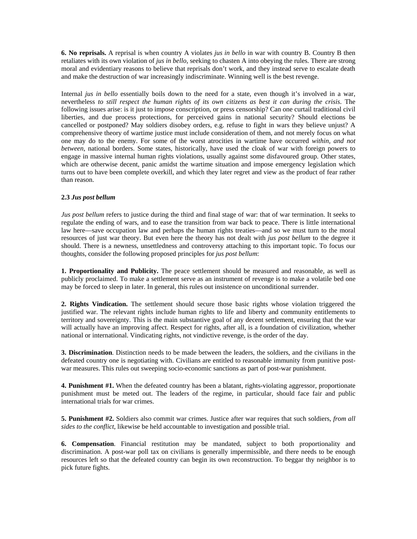**6. No reprisals.** A reprisal is when country A violates *jus in bello* in war with country B. Country B then retaliates with its own violation of *jus in bello*, seeking to chasten A into obeying the rules. There are strong moral and evidentiary reasons to believe that reprisals don't work, and they instead serve to escalate death and make the destruction of war increasingly indiscriminate. Winning well is the best revenge.

Internal *jus in bello* essentially boils down to the need for a state, even though it's involved in a war, nevertheless *to still respect the human rights of its own citizens as best it can during the crisis*. The following issues arise: is it just to impose conscription, or press censorship? Can one curtail traditional civil liberties, and due process protections, for perceived gains in national security? Should elections be cancelled or postponed? May soldiers disobey orders, e.g. refuse to fight in wars they believe unjust? A comprehensive theory of wartime justice must include consideration of them, and not merely focus on what one may do to the enemy. For some of the worst atrocities in wartime have occurred *within, and not between*, national borders. Some states, historically, have used the cloak of war with foreign powers to engage in massive internal human rights violations, usually against some disfavoured group. Other states, which are otherwise decent, panic amidst the wartime situation and impose emergency legislation which turns out to have been complete overkill, and which they later regret and view as the product of fear rather than reason.

## **2.3** *Jus post bellum*

*Jus post bellum* refers to justice during the third and final stage of war: that of war termination. It seeks to regulate the ending of wars, and to ease the transition from war back to peace. There is little international law here—save occupation law and perhaps the human rights treaties—and so we must turn to the moral resources of just war theory. But even here the theory has not dealt with *jus post bellum* to the degree it should. There is a newness, unsettledness and controversy attaching to this important topic. To focus our thoughts, consider the following proposed principles for *jus post bellum*:

**1. Proportionality and Publicity.** The peace settlement should be measured and reasonable, as well as publicly proclaimed. To make a settlement serve as an instrument of revenge is to make a volatile bed one may be forced to sleep in later. In general, this rules out insistence on unconditional surrender.

**2. Rights Vindication.** The settlement should secure those basic rights whose violation triggered the justified war. The relevant rights include human rights to life and liberty and community entitlements to territory and sovereignty. This is the main substantive goal of any decent settlement, ensuring that the war will actually have an improving affect. Respect for rights, after all, is a foundation of civilization, whether national or international. Vindicating rights, not vindictive revenge, is the order of the day.

**3. Discrimination**. Distinction needs to be made between the leaders, the soldiers, and the civilians in the defeated country one is negotiating with. Civilians are entitled to reasonable immunity from punitive postwar measures. This rules out sweeping socio-economic sanctions as part of post-war punishment.

**4. Punishment #1.** When the defeated country has been a blatant, rights-violating aggressor, proportionate punishment must be meted out. The leaders of the regime, in particular, should face fair and public international trials for war crimes.

**5. Punishment #2.** Soldiers also commit war crimes. Justice after war requires that such soldiers, *from all sides to the conflict*, likewise be held accountable to investigation and possible trial.

**6. Compensation**. Financial restitution may be mandated, subject to both proportionality and discrimination. A post-war poll tax on civilians is generally impermissible, and there needs to be enough resources left so that the defeated country can begin its own reconstruction. To beggar thy neighbor is to pick future fights.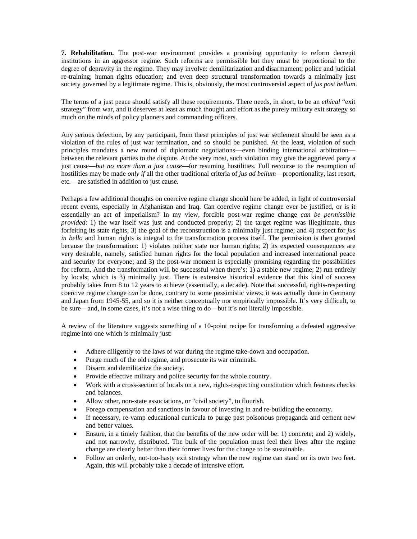**7. Rehabilitation.** The post-war environment provides a promising opportunity to reform decrepit institutions in an aggressor regime. Such reforms are permissible but they must be proportional to the degree of depravity in the regime. They may involve: demilitarization and disarmament; police and judicial re-training; human rights education; and even deep structural transformation towards a minimally just society governed by a legitimate regime. This is, obviously, the most controversial aspect of *jus post bellum*.

The terms of a just peace should satisfy all these requirements. There needs, in short, to be an *ethical* "exit strategy" from war, and it deserves at least as much thought and effort as the purely military exit strategy so much on the minds of policy planners and commanding officers.

Any serious defection, by any participant, from these principles of just war settlement should be seen as a violation of the rules of just war termination, and so should be punished. At the least, violation of such principles mandates a new round of diplomatic negotiations—even binding international arbitration between the relevant parties to the dispute. At the very most, such violation may give the aggrieved party a just cause—*but no more than a just cause*—for resuming hostilities. Full recourse to the resumption of hostilities may be made *only if* all the other traditional criteria of *jus ad bellum*—proportionality, last resort, etc.—are satisfied in addition to just cause.

Perhaps a few additional thoughts on coercive regime change should here be added, in light of controversial recent events, especially in Afghanistan and Iraq. Can coercive regime change ever be justified, or is it essentially an act of imperialism? In my view, forcible post-war regime change *can be permissible provided*: 1) the war itself was just and conducted properly; 2) the target regime was illegitimate, thus forfeiting its state rights; 3) the goal of the reconstruction is a minimally just regime; and 4) respect for *jus in bello* and human rights is integral to the transformation process itself. The permission is then granted because the transformation: 1) violates neither state nor human rights; 2) its expected consequences are very desirable, namely, satisfied human rights for the local population and increased international peace and security for everyone; and 3) the post-war moment is especially promising regarding the possibilities for reform. And the transformation will be successful when there's: 1) a stable new regime; 2) run entirely by locals; which is 3) minimally just. There is extensive historical evidence that this kind of success probably takes from 8 to 12 years to achieve (essentially, a decade). Note that successful, rights-respecting coercive regime change *can* be done, contrary to some pessimistic views; it was actually done in Germany and Japan from 1945-55, and so it is neither conceptually nor empirically impossible. It's very difficult, to be sure—and, in some cases, it's not a wise thing to do—but it's not literally impossible.

A review of the literature suggests something of a 10-point recipe for transforming a defeated aggressive regime into one which is minimally just:

- Adhere diligently to the laws of war during the regime take-down and occupation.
- Purge much of the old regime, and prosecute its war criminals.
- Disarm and demilitarize the society.
- Provide effective military and police security for the whole country.
- Work with a cross-section of locals on a new, rights-respecting constitution which features checks and balances.
- Allow other, non-state associations, or "civil society", to flourish.
- Forego compensation and sanctions in favour of investing in and re-building the economy.
- If necessary, re-vamp educational curricula to purge past poisonous propaganda and cement new and better values.
- Ensure, in a timely fashion, that the benefits of the new order will be: 1) concrete; and 2) widely, and not narrowly, distributed. The bulk of the population must feel their lives after the regime change are clearly better than their former lives for the change to be sustainable.
- Follow an orderly, not-too-hasty exit strategy when the new regime can stand on its own two feet. Again, this will probably take a decade of intensive effort.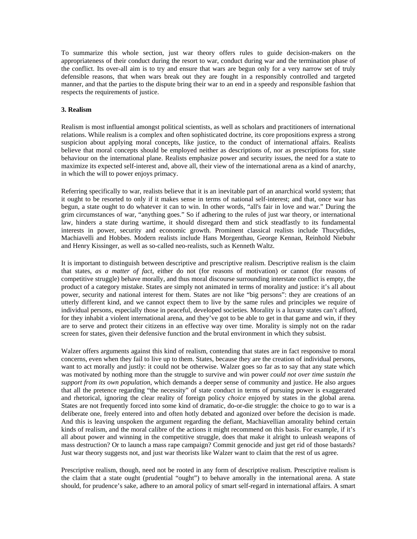To summarize this whole section, just war theory offers rules to guide decision-makers on the appropriateness of their conduct during the resort to war, conduct during war and the termination phase of the conflict. Its over-all aim is to try and ensure that wars are begun only for a very narrow set of truly defensible reasons, that when wars break out they are fought in a responsibly controlled and targeted manner, and that the parties to the dispute bring their war to an end in a speedy and responsible fashion that respects the requirements of justice.

#### **3. Realism**

Realism is most influential amongst political scientists, as well as scholars and practitioners of international relations. While realism is a complex and often sophisticated doctrine, its core propositions express a strong suspicion about applying moral concepts, like justice, to the conduct of international affairs. Realists believe that moral concepts should be employed neither as descriptions of, nor as prescriptions for, state behaviour on the international plane. Realists emphasize power and security issues, the need for a state to maximize its expected self-interest and, above all, their view of the international arena as a kind of anarchy, in which the will to power enjoys primacy.

Referring specifically to war, realists believe that it is an inevitable part of an anarchical world system; that it ought to be resorted to only if it makes sense in terms of national self-interest; and that, once war has begun, a state ought to do whatever it can to win. In other words, "all's fair in love and war." During the grim circumstances of war, "anything goes." So if adhering to the rules of just war theory, or international law, hinders a state during wartime, it should disregard them and stick steadfastly to its fundamental interests in power, security and economic growth. Prominent classical realists include Thucydides, Machiavelli and Hobbes. Modern realists include Hans Morgenthau, George Kennan, Reinhold Niebuhr and Henry Kissinger, as well as so-called neo-realists, such as Kenneth Waltz.

It is important to distinguish between descriptive and prescriptive realism. Descriptive realism is the claim that states, *as a matter of fact*, either do not (for reasons of motivation) or cannot (for reasons of competitive struggle) behave morally, and thus moral discourse surrounding interstate conflict is empty, the product of a category mistake. States are simply not animated in terms of morality and justice: it's all about power, security and national interest for them. States are not like "big persons": they are creations of an utterly different kind, and we cannot expect them to live by the same rules and principles we require of individual persons, especially those in peaceful, developed societies. Morality is a luxury states can't afford, for they inhabit a violent international arena, and they've got to be able to get in that game and win, if they are to serve and protect their citizens in an effective way over time. Morality is simply not on the radar screen for states, given their defensive function and the brutal environment in which they subsist.

Walzer offers arguments against this kind of realism, contending that states are in fact responsive to moral concerns, even when they fail to live up to them. States, because they are the creation of individual persons, want to act morally and justly: it could not be otherwise. Walzer goes so far as to say that any state which was motivated by nothing more than the struggle to survive and win power *could not over time sustain the support from its own population*, which demands a deeper sense of community and justice. He also argues that all the pretence regarding "the necessity" of state conduct in terms of pursuing power is exaggerated and rhetorical, ignoring the clear reality of foreign policy *choice* enjoyed by states in the global arena. States are not frequently forced into some kind of dramatic, do-or-die struggle: the choice to go to war is a deliberate one, freely entered into and often hotly debated and agonized over before the decision is made. And this is leaving unspoken the argument regarding the defiant, Machiavellian amorality behind certain kinds of realism, and the moral calibre of the actions it might recommend on this basis. For example, if it's all about power and winning in the competitive struggle, does that make it alright to unleash weapons of mass destruction? Or to launch a mass rape campaign? Commit genocide and just get rid of those bastards? Just war theory suggests not, and just war theorists like Walzer want to claim that the rest of us agree.

Prescriptive realism, though, need not be rooted in any form of descriptive realism. Prescriptive realism is the claim that a state ought (prudential "ought") to behave amorally in the international arena. A state should, for prudence's sake, adhere to an amoral policy of smart self-regard in international affairs. A smart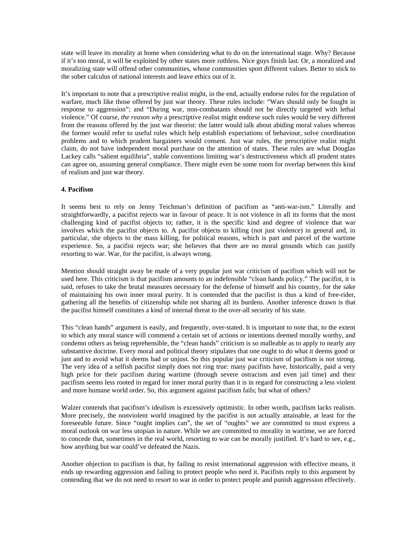state will leave its morality at home when considering what to do on the international stage. Why? Because if it's too moral, it will be exploited by other states more ruthless. Nice guys finish last. Or, a moralized and moralizing state will offend other communities, whose communities sport different values. Better to stick to the sober calculus of national interests and leave ethics out of it.

It's important to note that a prescriptive realist might, in the end, actually endorse rules for the regulation of warfare, much like those offered by just war theory. These rules include: "Wars should only be fought in response to aggression"; and "During war, non-combatants should not be directly targeted with lethal violence." Of course, *the reason why* a prescriptive realist might endorse such rules would be very different from the reasons offered by the just war theorist: the latter would talk about abiding moral values whereas the former would refer to useful rules which help establish expectations of behaviour, solve coordination problems and to which prudent bargainers would consent. Just war rules, the prescriptive realist might claim, do not have independent moral purchase on the attention of states. These rules are what Douglas Lackey calls "salient equilibria", stable conventions limiting war's destructiveness which all prudent states can agree on, assuming general compliance. There might even be some room for overlap between this kind of realism and just war theory.

# **4. Pacifism**

It seems best to rely on Jenny Teichman's definition of pacifism as "anti-war-ism." Literally and straightforwardly, a pacifist rejects war in favour of peace. It is not violence in all its forms that the most challenging kind of pacifist objects to; rather, it is the specific kind and degree of violence that war involves which the pacifist objects to. A pacifist objects to killing (not just violence) in general and, in particular, she objects to the mass killing, for political reasons, which is part and parcel of the wartime experience. So, a pacifist rejects war; she believes that there are no moral grounds which can justify resorting to war. War, for the pacifist, is always wrong.

Mention should straight away be made of a very popular just war criticism of pacifism which will not be used here. This criticism is that pacifism amounts to an indefensible "clean hands policy." The pacifist, it is said, refuses to take the brutal measures necessary for the defense of himself and his country, for the sake of maintaining his own inner moral purity. It is contended that the pacifist is thus a kind of free-rider, gathering all the benefits of citizenship while not sharing all its burdens. Another inference drawn is that the pacifist himself constitutes a kind of internal threat to the over-all security of his state.

This "clean hands" argument is easily, and frequently, over-stated. It is important to note that, to the extent to which any moral stance will commend a certain set of actions or intentions deemed morally worthy, and condemn others as being reprehensible, the "clean hands" criticism is so malleable as to apply to nearly any substantive doctrine. Every moral and political theory stipulates that one ought to do what it deems good or just and to avoid what it deems bad or unjust. So this popular just war criticism of pacifism is not strong. The very idea of a selfish pacifist simply does not ring true: many pacifists have, historically, paid a very high price for their pacifism during wartime (through severe ostracism and even jail time) and their pacifism seems less rooted in regard for inner moral purity than it is in regard for constructing a less violent and more humane world order. So, this argument against pacifism fails; but what of others?

Walzer contends that pacifism's idealism is excessively optimistic. In other words, pacifism lacks realism. More precisely, the nonviolent world imagined by the pacifist is not actually attainable, at least for the foreseeable future. Since "ought implies can", the set of "oughts" we are committed to must express a moral outlook on war less utopian in nature. While we are committed to morality in wartime, we are forced to concede that, sometimes in the real world, resorting to war can be morally justified. It's hard to see, e.g., how anything but war could've defeated the Nazis.

Another objection to pacifism is that, by failing to resist international aggression with effective means, it ends up rewarding aggression and failing to protect people who need it. Pacifists reply to this argument by contending that we do not need to resort to war in order to protect people and punish aggression effectively.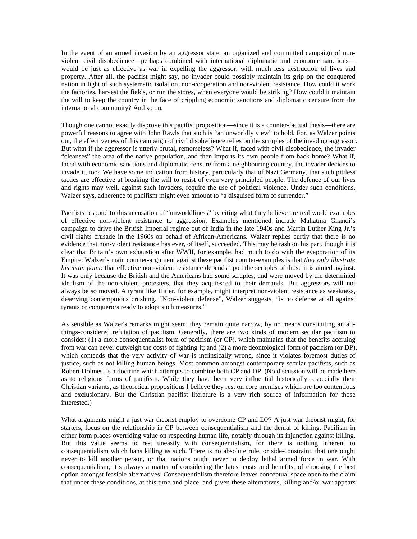In the event of an armed invasion by an aggressor state, an organized and committed campaign of nonviolent civil disobedience—perhaps combined with international diplomatic and economic sanctions would be just as effective as war in expelling the aggressor, with much less destruction of lives and property. After all, the pacifist might say, no invader could possibly maintain its grip on the conquered nation in light of such systematic isolation, non-cooperation and non-violent resistance. How could it work the factories, harvest the fields, or run the stores, when everyone would be striking? How could it maintain the will to keep the country in the face of crippling economic sanctions and diplomatic censure from the international community? And so on.

Though one cannot exactly disprove this pacifist proposition—since it is a counter-factual thesis—there are powerful reasons to agree with John Rawls that such is "an unworldly view" to hold. For, as Walzer points out, the effectiveness of this campaign of civil disobedience relies on the scruples of the invading aggressor. But what if the aggressor is utterly brutal, remorseless? What if, faced with civil disobedience, the invader "cleanses" the area of the native population, and then imports its own people from back home? What if, faced with economic sanctions and diplomatic censure from a neighbouring country, the invader decides to invade it, too? We have some indication from history, particularly that of Nazi Germany, that such pitiless tactics are effective at breaking the will to resist of even very principled people. The defence of our lives and rights may well, against such invaders, require the use of political violence. Under such conditions, Walzer says, adherence to pacifism might even amount to "a disguised form of surrender."

Pacifists respond to this accusation of "unworldliness" by citing what they believe are real world examples of effective non-violent resistance to aggression. Examples mentioned include Mahatma Ghandi's campaign to drive the British Imperial regime out of India in the late 1940s and Martin Luther King Jr.'s civil rights crusade in the 1960s on behalf of African-Americans. Walzer replies curtly that there is no evidence that non-violent resistance has ever, of itself, succeeded. This may be rash on his part, though it is clear that Britain's own exhaustion after WWII, for example, had much to do with the evaporation of its Empire. Walzer's main counter-argument against these pacifist counter-examples is that *they only illustrate his main point*: that effective non-violent resistance depends upon the scruples of those it is aimed against. It was only because the British and the Americans had some scruples, and were moved by the determined idealism of the non-violent protesters, that they acquiesced to their demands. But aggressors will not always be so moved. A tyrant like Hitler, for example, might interpret non-violent resistance as weakness, deserving contemptuous crushing. "Non-violent defense", Walzer suggests, "is no defense at all against tyrants or conquerors ready to adopt such measures."

As sensible as Walzer's remarks might seem, they remain quite narrow, by no means constituting an allthings-considered refutation of pacifism. Generally, there are two kinds of modern secular pacifism to consider: (1) a more consequentialist form of pacifism (or CP), which maintains that the benefits accruing from war can never outweigh the costs of fighting it; and (2) a more deontological form of pacifism (or DP), which contends that the very activity of war is intrinsically wrong, since it violates foremost duties of justice, such as not killing human beings. Most common amongst contemporary secular pacifists, such as Robert Holmes, is a doctrine which attempts to combine both CP and DP. (No discussion will be made here as to religious forms of pacifism. While they have been very influential historically, especially their Christian variants, as theoretical propositions I believe they rest on core premises which are too contentious and exclusionary. But the Christian pacifist literature is a very rich source of information for those interested.)

What arguments might a just war theorist employ to overcome CP and DP? A just war theorist might, for starters, focus on the relationship in CP between consequentialism and the denial of killing. Pacifism in either form places overriding value on respecting human life, notably through its injunction against killing. But this value seems to rest uneasily with consequentialism, for there is nothing inherent to consequentialism which bans killing as such. There is no absolute rule, or side-constraint, that one ought never to kill another person, or that nations ought never to deploy lethal armed force in war. With consequentialism, it's always a matter of considering the latest costs and benefits, of choosing the best option amongst feasible alternatives. Consequentialism therefore leaves conceptual space open to the claim that under these conditions, at this time and place, and given these alternatives, killing and/or war appears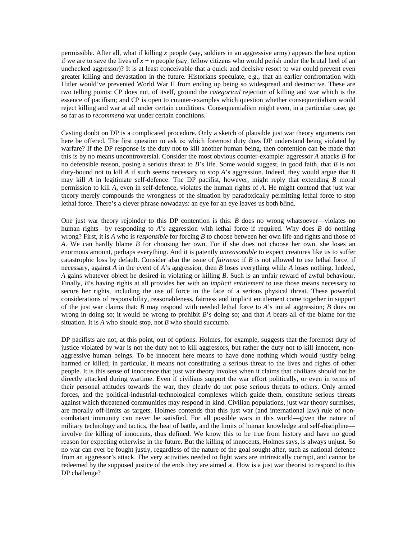permissible. After all, what if killing *x* people (say, soldiers in an aggressive army) appears the best option if we are to save the lives of  $x + n$  people (say, fellow citizens who would perish under the brutal heel of an unchecked aggressor)? It is at least conceivable that a quick and decisive resort to war could prevent even greater killing and devastation in the future. Historians speculate, e.g., that an earlier confrontation with Hitler would've prevented World War II from ending up being so widespread and destructive. These are two telling points: CP does not, of itself, ground the *categorical* rejection of killing and war which is the essence of pacifism; and CP is open to counter-examples which question whether consequentialism would reject killing and war at all under certain conditions. Consequentialism might even, in a particular case, go so far as to *recommend* war under certain conditions.

Casting doubt on DP is a complicated procedure. Only a sketch of plausible just war theory arguments can here be offered. The first question to ask is: which foremost duty does DP understand being violated by warfare? If the DP response is the duty not to kill another human being, then contention can be made that this is by no means uncontroversial. Consider the most obvious counter-example: aggressor *A* attacks *B* for no defensible reason, posing a serious threat to *B*'s life. Some would suggest, in good faith, that *B* is not duty-bound not to kill *A* if such seems necessary to stop *A*'s aggression. Indeed, they would argue that *B* may kill *A* in legitimate self-defence. The DP pacifist, however, might reply that extending *B* moral permission to kill *A*, even in self-defence, violates the human rights of *A*. He might contend that just war theory merely compounds the wrongness of the situation by paradoxically permitting lethal force to stop lethal force. There's a clever phrase nowadays: an eye for an eye leaves us both blind.

One just war theory rejoinder to this DP contention is this: *B* does no wrong whatsoever—violates no human rights—by responding to *A*'s aggression with lethal force if required. Why does *B* do nothing wrong? First, it is *A* who is *responsible* for forcing *B* to choose between her own life and rights and those of *A*. We can hardly blame *B* for choosing her own. For if she does not choose her own, she loses an enormous amount, perhaps everything. And it is patently *unreasonable* to expect creatures like us to suffer catastrophic loss by default. Consider also the issue of *fairness*: if *B* is not allowed to use lethal force, if necessary, against *A* in the event of *A*'s aggression, then *B* loses everything while *A* loses nothing. Indeed, *A* gains whatever object he desired in violating or killing *B*. Such is an unfair reward of awful behaviour. Finally, *B*'s having rights at all provides her with an *implicit entitlement* to use those means necessary to secure her rights, including the use of force in the face of a serious physical threat. These powerful considerations of responsibility, reasonableness, fairness and implicit entitlement come together in support of the just war claims that: *B* may respond with needed lethal force to *A*'s initial aggression; *B* does no wrong in doing so; it would be wrong to prohibit *B*'s doing so; and that *A* bears all of the blame for the situation. It is *A* who should stop, not *B* who should succumb.

DP pacifists are not, at this point, out of options. Holmes, for example, suggests that the foremost duty of justice violated by war is not the duty not to kill aggressors, but rather the duty not to kill innocent, nonaggressive human beings. To be innocent here means to have done nothing which would justify being harmed or killed; in particular, it means not constituting a serious threat to the lives and rights of other people. It is this sense of innocence that just war theory invokes when it claims that civilians should not be directly attacked during wartime. Even if civilians support the war effort politically, or even in terms of their personal attitudes towards the war, they clearly do not pose serious threats to others. Only armed forces, and the political-industrial-technological complexes which guide them, constitute serious threats against which threatened communities may respond in kind. Civilian populations, just war theory surmises, are morally off-limits as targets. Holmes contends that this just war (and international law) rule of noncombatant immunity can never be satisfied. For all possible wars in this world—given the nature of military technology and tactics, the heat of battle, and the limits of human knowledge and self-discipline involve the killing of innocents, thus defined. We know this to be true from history and have no good reason for expecting otherwise in the future. But the killing of innocents, Holmes says, is always unjust. So no war can ever be fought justly, regardless of the nature of the goal sought after, such as national defence from an aggressor's attack. The very activities needed to fight wars are intrinsically corrupt, and cannot be redeemed by the supposed justice of the ends they are aimed at. How is a just war theorist to respond to this DP challenge?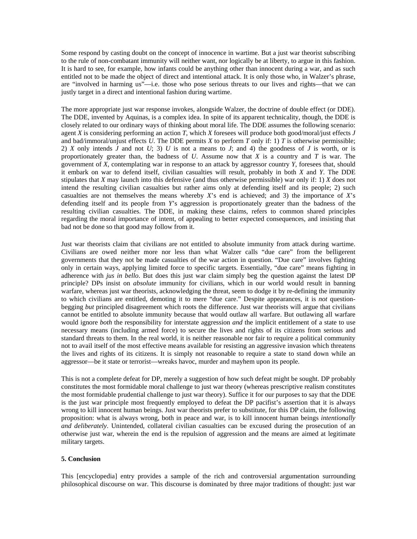Some respond by casting doubt on the concept of innocence in wartime. But a just war theorist subscribing to the rule of non-combatant immunity will neither want, nor logically be at liberty, to argue in this fashion. It is hard to see, for example, how infants could be anything other than innocent during a war, and as such entitled not to be made the object of direct and intentional attack. It is only those who, in Walzer's phrase, are "involved in harming us"—i.e. those who pose serious threats to our lives and rights—that we can justly target in a direct and intentional fashion during wartime.

The more appropriate just war response invokes, alongside Walzer, the doctrine of double effect (or DDE). The DDE, invented by Aquinas, is a complex idea. In spite of its apparent technicality, though, the DDE is closely related to our ordinary ways of thinking about moral life. The DDE assumes the following scenario: agent *X* is considering performing an action *T*, which *X* foresees will produce both good/moral/just effects *J* and bad/immoral/unjust effects *U*. The DDE permits *X* to perform *T* only if: 1) *T* is otherwise permissible; 2) *X* only intends *J* and not *U*; 3) *U* is not a means to *J*; and 4) the goodness of *J* is worth, or is proportionately greater than, the badness of *U*. Assume now that *X* is a country and *T* is war. The government of *X*, contemplating war in response to an attack by aggressor country *Y*, foresees that, should it embark on war to defend itself, civilian casualties will result, probably in both *X* and *Y*. The DDE stipulates that *X* may launch into this defensive (and thus otherwise permissible) war only if: 1) *X* does not intend the resulting civilian casualties but rather aims only at defending itself and its people; 2) such casualties are not themselves the means whereby *X*'s end is achieved; and 3) the importance of *X*'s defending itself and its people from *Y*'s aggression is proportionately greater than the badness of the resulting civilian casualties. The DDE, in making these claims, refers to common shared principles regarding the moral importance of intent, of appealing to better expected consequences, and insisting that bad not be done so that good may follow from it.

Just war theorists claim that civilians are not entitled to absolute immunity from attack during wartime. Civilians are owed neither more nor less than what Walzer calls "due care" from the belligerent governments that they not be made casualties of the war action in question. "Due care" involves fighting only in certain ways, applying limited force to specific targets. Essentially, "due care" means fighting in adherence with *jus in bello*. But does this just war claim simply beg the question against the latest DP principle? DPs insist on *absolute* immunity for civilians, which in our world would result in banning warfare, whereas just war theorists, acknowledging the threat, seem to dodge it by re-defining the immunity to which civilians are entitled, demoting it to mere "due care." Despite appearances, it is *not* questionbegging *but* principled disagreement which roots the difference. Just war theorists will argue that civilians cannot be entitled to absolute immunity because that would outlaw all warfare. But outlawing all warfare would ignore *both* the responsibility for interstate aggression *and* the implicit entitlement of a state to use necessary means (including armed force) to secure the lives and rights of its citizens from serious and standard threats to them. In the real world, it is neither reasonable nor fair to require a political community not to avail itself of the most effective means available for resisting an aggressive invasion which threatens the lives and rights of its citizens. It is simply not reasonable to require a state to stand down while an aggressor—be it state or terrorist—wreaks havoc, murder and mayhem upon its people.

This is not a complete defeat for DP, merely a suggestion of how such defeat might be sought. DP probably constitutes the most formidable moral challenge to just war theory (whereas prescriptive realism constitutes the most formidable prudential challenge to just war theory). Suffice it for our purposes to say that the DDE is the just war principle most frequently employed to defeat the DP pacifist's assertion that it is always wrong to kill innocent human beings. Just war theorists prefer to substitute, for this DP claim, the following proposition: what is always wrong, both in peace and war, is to kill innocent human beings *intentionally and deliberately*. Unintended, collateral civilian casualties can be excused during the prosecution of an otherwise just war, wherein the end is the repulsion of aggression and the means are aimed at legitimate military targets.

#### **5. Conclusion**

This [encyclopedia] entry provides a sample of the rich and controversial argumentation surrounding philosophical discourse on war. This discourse is dominated by three major traditions of thought: just war